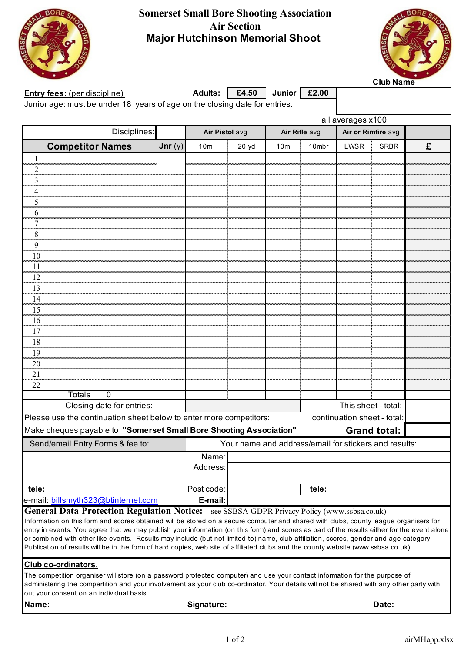

## **Somerset Small Bore Shooting Association Air Section Major Hutchinson Memorial Shoot**



|                                                                                                                                                                                                                                                                                                                                                                                                                                                                                                                                                                                                                                                                 |        |                 |       |                 | <b>Club Name</b>            |                     |             |   |  |
|-----------------------------------------------------------------------------------------------------------------------------------------------------------------------------------------------------------------------------------------------------------------------------------------------------------------------------------------------------------------------------------------------------------------------------------------------------------------------------------------------------------------------------------------------------------------------------------------------------------------------------------------------------------------|--------|-----------------|-------|-----------------|-----------------------------|---------------------|-------------|---|--|
| <b>Entry fees:</b> (per discipline)                                                                                                                                                                                                                                                                                                                                                                                                                                                                                                                                                                                                                             |        | <b>Adults:</b>  | £4.50 | Junior          | £2.00                       |                     |             |   |  |
| Junior age: must be under 18 years of age on the closing date for entries.                                                                                                                                                                                                                                                                                                                                                                                                                                                                                                                                                                                      |        |                 |       |                 |                             |                     |             |   |  |
|                                                                                                                                                                                                                                                                                                                                                                                                                                                                                                                                                                                                                                                                 |        |                 |       |                 |                             | all averages x100   |             |   |  |
| Disciplines:                                                                                                                                                                                                                                                                                                                                                                                                                                                                                                                                                                                                                                                    |        | Air Pistol avg  |       |                 |                             | Air or Rimfire avg  |             |   |  |
|                                                                                                                                                                                                                                                                                                                                                                                                                                                                                                                                                                                                                                                                 |        |                 |       | Air Rifle avg   |                             |                     |             |   |  |
| <b>Competitor Names</b>                                                                                                                                                                                                                                                                                                                                                                                                                                                                                                                                                                                                                                         | Jnr(y) | 10 <sub>m</sub> | 20 yd | 10 <sub>m</sub> | 10mbr                       | <b>LWSR</b>         | <b>SRBR</b> | £ |  |
|                                                                                                                                                                                                                                                                                                                                                                                                                                                                                                                                                                                                                                                                 |        |                 |       |                 |                             |                     |             |   |  |
| 2                                                                                                                                                                                                                                                                                                                                                                                                                                                                                                                                                                                                                                                               |        |                 |       |                 |                             |                     |             |   |  |
| 3                                                                                                                                                                                                                                                                                                                                                                                                                                                                                                                                                                                                                                                               |        |                 |       |                 |                             |                     |             |   |  |
| 4<br>5                                                                                                                                                                                                                                                                                                                                                                                                                                                                                                                                                                                                                                                          |        |                 |       |                 |                             |                     |             |   |  |
| 6                                                                                                                                                                                                                                                                                                                                                                                                                                                                                                                                                                                                                                                               |        |                 |       |                 |                             |                     |             |   |  |
| 7                                                                                                                                                                                                                                                                                                                                                                                                                                                                                                                                                                                                                                                               |        |                 |       |                 |                             |                     |             |   |  |
| 8                                                                                                                                                                                                                                                                                                                                                                                                                                                                                                                                                                                                                                                               |        |                 |       |                 |                             |                     |             |   |  |
| 9                                                                                                                                                                                                                                                                                                                                                                                                                                                                                                                                                                                                                                                               |        |                 |       |                 |                             |                     |             |   |  |
| 10                                                                                                                                                                                                                                                                                                                                                                                                                                                                                                                                                                                                                                                              |        |                 |       |                 |                             |                     |             |   |  |
| 11                                                                                                                                                                                                                                                                                                                                                                                                                                                                                                                                                                                                                                                              |        |                 |       |                 |                             |                     |             |   |  |
| 12                                                                                                                                                                                                                                                                                                                                                                                                                                                                                                                                                                                                                                                              |        |                 |       |                 |                             |                     |             |   |  |
| 13                                                                                                                                                                                                                                                                                                                                                                                                                                                                                                                                                                                                                                                              |        |                 |       |                 |                             |                     |             |   |  |
| 14                                                                                                                                                                                                                                                                                                                                                                                                                                                                                                                                                                                                                                                              |        |                 |       |                 |                             |                     |             |   |  |
| 15                                                                                                                                                                                                                                                                                                                                                                                                                                                                                                                                                                                                                                                              |        |                 |       |                 |                             |                     |             |   |  |
| 16                                                                                                                                                                                                                                                                                                                                                                                                                                                                                                                                                                                                                                                              |        |                 |       |                 |                             |                     |             |   |  |
| 17                                                                                                                                                                                                                                                                                                                                                                                                                                                                                                                                                                                                                                                              |        |                 |       |                 |                             |                     |             |   |  |
| 18                                                                                                                                                                                                                                                                                                                                                                                                                                                                                                                                                                                                                                                              |        |                 |       |                 |                             |                     |             |   |  |
| 19                                                                                                                                                                                                                                                                                                                                                                                                                                                                                                                                                                                                                                                              |        |                 |       |                 |                             |                     |             |   |  |
| 20                                                                                                                                                                                                                                                                                                                                                                                                                                                                                                                                                                                                                                                              |        |                 |       |                 |                             |                     |             |   |  |
| 21                                                                                                                                                                                                                                                                                                                                                                                                                                                                                                                                                                                                                                                              |        |                 |       |                 |                             |                     |             |   |  |
| 22<br><b>Totals</b><br>$\mathbf{0}$                                                                                                                                                                                                                                                                                                                                                                                                                                                                                                                                                                                                                             |        |                 |       |                 |                             |                     |             |   |  |
| Closing date for entries:                                                                                                                                                                                                                                                                                                                                                                                                                                                                                                                                                                                                                                       |        |                 |       |                 |                             | This sheet - total: |             |   |  |
| Please use the continuation sheet below to enter more competitors:                                                                                                                                                                                                                                                                                                                                                                                                                                                                                                                                                                                              |        |                 |       |                 | continuation sheet - total: |                     |             |   |  |
|                                                                                                                                                                                                                                                                                                                                                                                                                                                                                                                                                                                                                                                                 |        |                 |       |                 |                             |                     |             |   |  |
| Make cheques payable to "Somerset Small Bore Shooting Association"<br><b>Grand total:</b>                                                                                                                                                                                                                                                                                                                                                                                                                                                                                                                                                                       |        |                 |       |                 |                             |                     |             |   |  |
| Your name and address/email for stickers and results:<br>Send/email Entry Forms & fee to:                                                                                                                                                                                                                                                                                                                                                                                                                                                                                                                                                                       |        |                 |       |                 |                             |                     |             |   |  |
|                                                                                                                                                                                                                                                                                                                                                                                                                                                                                                                                                                                                                                                                 |        | Name:           |       |                 |                             |                     |             |   |  |
|                                                                                                                                                                                                                                                                                                                                                                                                                                                                                                                                                                                                                                                                 |        | Address:        |       |                 |                             |                     |             |   |  |
|                                                                                                                                                                                                                                                                                                                                                                                                                                                                                                                                                                                                                                                                 |        |                 |       |                 |                             |                     |             |   |  |
| tele:                                                                                                                                                                                                                                                                                                                                                                                                                                                                                                                                                                                                                                                           |        | Post code:      |       |                 | tele:                       |                     |             |   |  |
| e-mail: billsmyth323@btinternet.com                                                                                                                                                                                                                                                                                                                                                                                                                                                                                                                                                                                                                             |        | E-mail:         |       |                 |                             |                     |             |   |  |
| General Data Protection Regulation Notice: see SSBSA GDPR Privacy Policy (www.ssbsa.co.uk)<br>Information on this form and scores obtained will be stored on a secure computer and shared with clubs, county league organisers for<br>entry in events. You agree that we may publish your information (on this form) and scores as part of the results either for the event alone<br>or combined with other like events. Results may include (but not limited to) name, club affiliation, scores, gender and age category.<br>Publication of results will be in the form of hard copies, web site of affiliated clubs and the county website (www.ssbsa.co.uk). |        |                 |       |                 |                             |                     |             |   |  |
| Club co-ordinators.                                                                                                                                                                                                                                                                                                                                                                                                                                                                                                                                                                                                                                             |        |                 |       |                 |                             |                     |             |   |  |
| The competition organiser will store (on a password protected computer) and use your contact information for the purpose of<br>administering the compertition and your involvement as your club co-ordinator. Your details will not be shared with any other party with<br>out your consent on an individual basis.                                                                                                                                                                                                                                                                                                                                             |        |                 |       |                 |                             |                     |             |   |  |
| Name:                                                                                                                                                                                                                                                                                                                                                                                                                                                                                                                                                                                                                                                           |        | Signature:      |       |                 | Date:                       |                     |             |   |  |